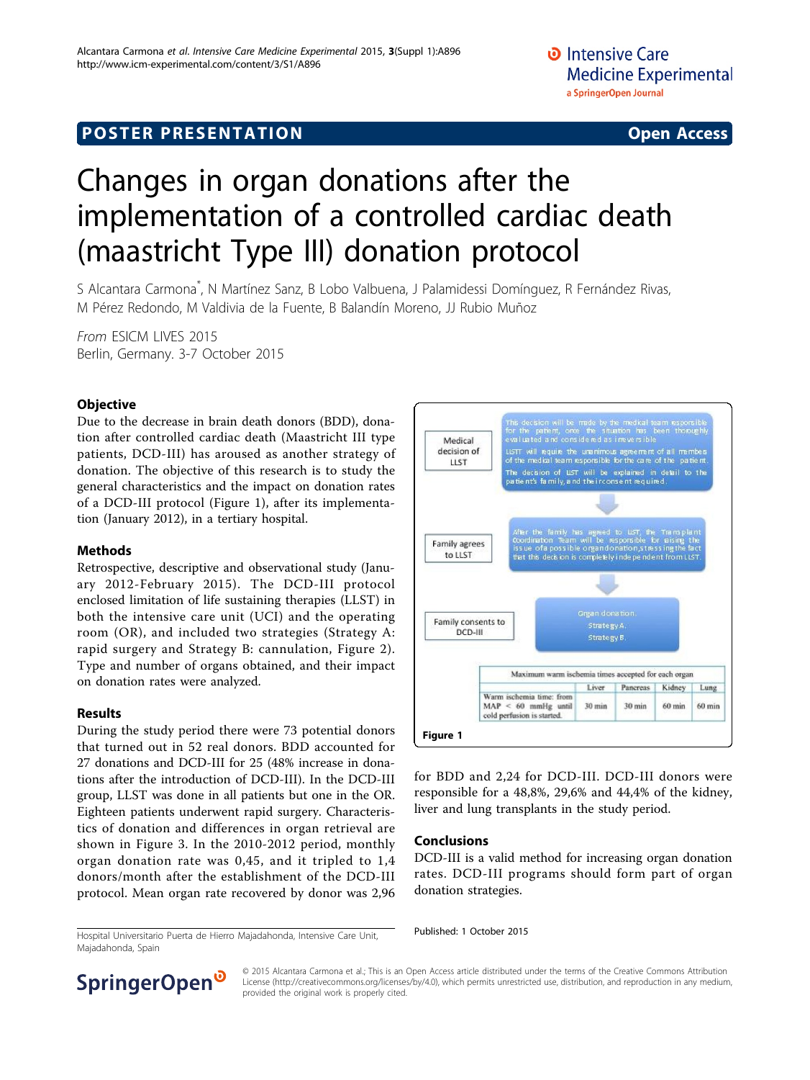## **POSTER PRESENTATION CONSUMING THE SERVICE SERVICE SERVICES**

# Changes in organ donations after the implementation of a controlled cardiac death (maastricht Type III) donation protocol

S Alcantara Carmona\* , N Martínez Sanz, B Lobo Valbuena, J Palamidessi Domínguez, R Fernández Rivas, M Pérez Redondo, M Valdivia de la Fuente, B Balandín Moreno, JJ Rubio Muñoz

From ESICM LIVES 2015 Berlin, Germany. 3-7 October 2015

### **Objective**

Due to the decrease in brain death donors (BDD), donation after controlled cardiac death (Maastricht III type patients, DCD-III) has aroused as another strategy of donation. The objective of this research is to study the general characteristics and the impact on donation rates of a DCD-III protocol (Figure 1), after its implementation (January 2012), in a tertiary hospital.

#### Methods

Retrospective, descriptive and observational study (January 2012-February 2015). The DCD-III protocol enclosed limitation of life sustaining therapies (LLST) in both the intensive care unit (UCI) and the operating room (OR), and included two strategies (Strategy A: rapid surgery and Strategy B: cannulation, Figure [2\)](#page-1-0). Type and number of organs obtained, and their impact on donation rates were analyzed.

#### Results

During the study period there were 73 potential donors that turned out in 52 real donors. BDD accounted for 27 donations and DCD-III for 25 (48% increase in donations after the introduction of DCD-III). In the DCD-III group, LLST was done in all patients but one in the OR. Eighteen patients underwent rapid surgery. Characteristics of donation and differences in organ retrieval are shown in Figure [3](#page-1-0). In the 2010-2012 period, monthly organ donation rate was 0,45, and it tripled to 1,4 donors/month after the establishment of the DCD-III protocol. Mean organ rate recovered by donor was 2,96



for BDD and 2,24 for DCD-III. DCD-III donors were responsible for a 48,8%, 29,6% and 44,4% of the kidney, liver and lung transplants in the study period.

#### Conclusions

DCD-III is a valid method for increasing organ donation rates. DCD-III programs should form part of organ donation strategies.

Published: 1 October 2015 Hospital Universitario Puerta de Hierro Majadahonda, Intensive Care Unit, Majadahonda, Spain



© 2015 Alcantara Carmona et al.; This is an Open Access article distributed under the terms of the Creative Commons Attribution License [\(http://creativecommons.org/licenses/by/4.0](http://creativecommons.org/licenses/by/4.0)), which permits unrestricted use, distribution, and reproduction in any medium, provided the original work is properly cited.